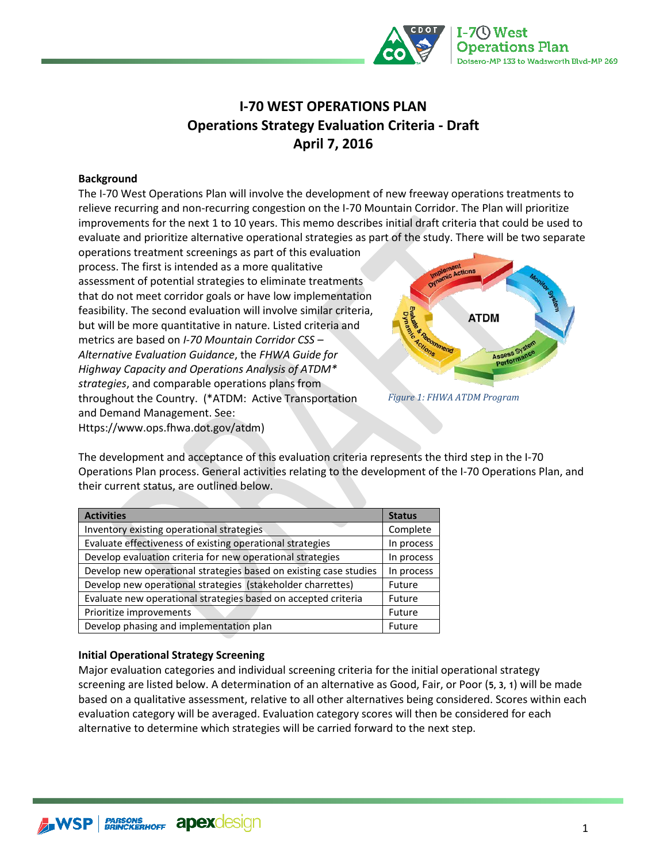

## **I-70 WEST OPERATIONS PLAN Operations Strategy Evaluation Criteria - Draft April 7, 2016**

#### **Background**

The I-70 West Operations Plan will involve the development of new freeway operations treatments to relieve recurring and non-recurring congestion on the I-70 Mountain Corridor. The Plan will prioritize improvements for the next 1 to 10 years. This memo describes initial draft criteria that could be used to evaluate and prioritize alternative operational strategies as part of the study. There will be two separate

operations treatment screenings as part of this evaluation process. The first is intended as a more qualitative assessment of potential strategies to eliminate treatments that do not meet corridor goals or have low implementation feasibility. The second evaluation will involve similar criteria, but will be more quantitative in nature. Listed criteria and metrics are based on *I-70 Mountain Corridor CSS – Alternative Evaluation Guidance*, the *FHWA Guide for Highway Capacity and Operations Analysis of ATDM\* strategies*, and comparable operations plans from throughout the Country. (\*ATDM: Active Transportation and Demand Management. See: Https://www.ops.fhwa.dot.gov/atdm)



*Figure 1: FHWA ATDM Program*

The development and acceptance of this evaluation criteria represents the third step in the I-70 Operations Plan process. General activities relating to the development of the I-70 Operations Plan, and their current status, are outlined below.

| <b>Activities</b>                                                 | <b>Status</b> |  |  |
|-------------------------------------------------------------------|---------------|--|--|
| Inventory existing operational strategies                         |               |  |  |
| Evaluate effectiveness of existing operational strategies         | In process    |  |  |
| Develop evaluation criteria for new operational strategies        | In process    |  |  |
| Develop new operational strategies based on existing case studies | In process    |  |  |
| Develop new operational strategies (stakeholder charrettes)       | Future        |  |  |
| Evaluate new operational strategies based on accepted criteria    | Future        |  |  |
| Prioritize improvements                                           | Future        |  |  |
| Develop phasing and implementation plan                           | Future        |  |  |

#### **Initial Operational Strategy Screening**

Major evaluation categories and individual screening criteria for the initial operational strategy screening are listed below. A determination of an alternative as Good, Fair, or Poor (**5, 3, 1**) will be made based on a qualitative assessment, relative to all other alternatives being considered. Scores within each evaluation category will be averaged. Evaluation category scores will then be considered for each alternative to determine which strategies will be carried forward to the next step.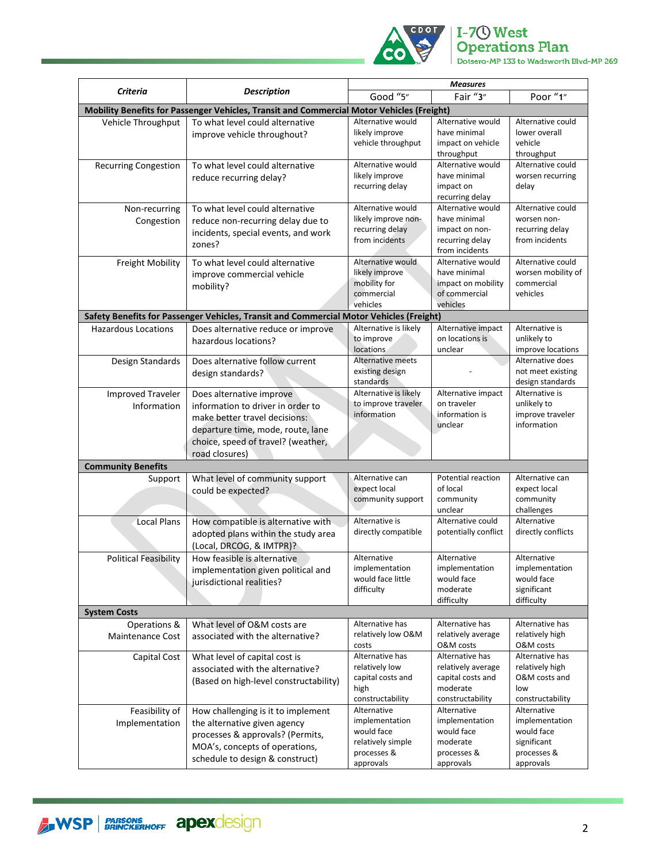

# **I-70 West<br>Operations Plan**<br>Dotsero-MP 133 to Wadsworth Blvd-MP 269

|                                                                                           |                                                                                         | <b>Measures</b>                        |                                       |                                    |  |  |
|-------------------------------------------------------------------------------------------|-----------------------------------------------------------------------------------------|----------------------------------------|---------------------------------------|------------------------------------|--|--|
| <b>Criteria</b>                                                                           | <b>Description</b>                                                                      | Good "5"                               | Fair "3"                              | Poor "1"                           |  |  |
| Mobility Benefits for Passenger Vehicles, Transit and Commercial Motor Vehicles (Freight) |                                                                                         |                                        |                                       |                                    |  |  |
| Vehicle Throughput                                                                        | To what level could alternative                                                         | Alternative would                      | Alternative would                     | Alternative could                  |  |  |
|                                                                                           | improve vehicle throughout?                                                             | likely improve                         | have minimal                          | lower overall                      |  |  |
|                                                                                           |                                                                                         | vehicle throughput                     | impact on vehicle                     | vehicle                            |  |  |
|                                                                                           |                                                                                         |                                        | throughput                            | throughput                         |  |  |
| <b>Recurring Congestion</b>                                                               | To what level could alternative                                                         | Alternative would                      | Alternative would                     | Alternative could                  |  |  |
|                                                                                           | reduce recurring delay?                                                                 | likely improve                         | have minimal                          | worsen recurring                   |  |  |
|                                                                                           |                                                                                         | recurring delay                        | impact on                             | delay                              |  |  |
|                                                                                           |                                                                                         |                                        | recurring delay                       |                                    |  |  |
| Non-recurring                                                                             | To what level could alternative                                                         | Alternative would                      | Alternative would<br>have minimal     | Alternative could                  |  |  |
| Congestion                                                                                | reduce non-recurring delay due to                                                       | likely improve non-<br>recurring delay | impact on non-                        | worsen non-<br>recurring delay     |  |  |
|                                                                                           | incidents, special events, and work                                                     | from incidents                         | recurring delay                       | from incidents                     |  |  |
|                                                                                           | zones?                                                                                  |                                        | from incidents                        |                                    |  |  |
| Freight Mobility                                                                          | To what level could alternative                                                         | Alternative would                      | Alternative would                     | Alternative could                  |  |  |
|                                                                                           | improve commercial vehicle                                                              | likely improve                         | have minimal                          | worsen mobility of                 |  |  |
|                                                                                           | mobility?                                                                               | mobility for                           | impact on mobility                    | commercial                         |  |  |
|                                                                                           |                                                                                         | commercial                             | of commercial                         | vehicles                           |  |  |
|                                                                                           |                                                                                         | vehicles                               | vehicles                              |                                    |  |  |
|                                                                                           | Safety Benefits for Passenger Vehicles, Transit and Commercial Motor Vehicles (Freight) |                                        |                                       |                                    |  |  |
| <b>Hazardous Locations</b>                                                                | Does alternative reduce or improve                                                      | Alternative is likely                  | Alternative impact                    | Alternative is                     |  |  |
|                                                                                           | hazardous locations?                                                                    | to improve                             | on locations is                       | unlikely to                        |  |  |
|                                                                                           |                                                                                         | <b>locations</b>                       | unclear                               | improve locations                  |  |  |
| Design Standards                                                                          | Does alternative follow current                                                         | Alternative meets                      |                                       | Alternative does                   |  |  |
|                                                                                           | design standards?                                                                       | existing design                        |                                       | not meet existing                  |  |  |
|                                                                                           |                                                                                         | standards                              |                                       | design standards                   |  |  |
| <b>Improved Traveler</b>                                                                  | Does alternative improve                                                                | Alternative is likely                  | Alternative impact                    | Alternative is                     |  |  |
| Information                                                                               | information to driver in order to                                                       | to improve traveler<br>information     | on traveler<br>information is         | unlikely to                        |  |  |
|                                                                                           | make better travel decisions:                                                           |                                        | unclear                               | improve traveler<br>information    |  |  |
|                                                                                           | departure time, mode, route, lane                                                       |                                        |                                       |                                    |  |  |
|                                                                                           | choice, speed of travel? (weather,                                                      |                                        |                                       |                                    |  |  |
|                                                                                           | road closures)                                                                          |                                        |                                       |                                    |  |  |
| <b>Community Benefits</b>                                                                 |                                                                                         |                                        |                                       |                                    |  |  |
| Support                                                                                   | What level of community support                                                         | Alternative can                        | Potential reaction                    | Alternative can                    |  |  |
|                                                                                           | could be expected?                                                                      | expect local                           | of local                              | expect local                       |  |  |
|                                                                                           |                                                                                         | community support                      | community                             | community                          |  |  |
|                                                                                           |                                                                                         |                                        | unclear                               | challenges                         |  |  |
| <b>Local Plans</b>                                                                        | How compatible is alternative with                                                      | Alternative is                         | Alternative could                     | Alternative                        |  |  |
|                                                                                           | adopted plans within the study area                                                     | directly compatible                    | potentially conflict                  | directly conflicts                 |  |  |
|                                                                                           | (Local, DRCOG, & IMTPR)?                                                                |                                        |                                       |                                    |  |  |
| <b>Political Feasibility</b>                                                              | How feasible is alternative                                                             | Alternative                            | Alternative                           | Alternative                        |  |  |
|                                                                                           | implementation given political and                                                      | implementation                         | implementation                        | implementation                     |  |  |
|                                                                                           | jurisdictional realities?                                                               | would face little                      | would face                            | would face                         |  |  |
|                                                                                           |                                                                                         | difficulty                             | moderate                              | significant                        |  |  |
|                                                                                           |                                                                                         |                                        | difficulty                            | difficulty                         |  |  |
| <b>System Costs</b>                                                                       |                                                                                         |                                        |                                       |                                    |  |  |
| Operations &                                                                              | What level of O&M costs are                                                             | Alternative has<br>relatively low O&M  | Alternative has<br>relatively average | Alternative has<br>relatively high |  |  |
| Maintenance Cost                                                                          | associated with the alternative?                                                        | costs                                  | O&M costs                             | O&M costs                          |  |  |
| Capital Cost                                                                              | What level of capital cost is                                                           | Alternative has                        | Alternative has                       | Alternative has                    |  |  |
|                                                                                           | associated with the alternative?                                                        | relatively low                         | relatively average                    | relatively high                    |  |  |
|                                                                                           |                                                                                         | capital costs and                      | capital costs and                     | O&M costs and                      |  |  |
|                                                                                           | (Based on high-level constructability)                                                  | high                                   | moderate                              | low                                |  |  |
|                                                                                           |                                                                                         | constructability                       | constructability                      | constructability                   |  |  |
| Feasibility of                                                                            | How challenging is it to implement                                                      | Alternative                            | Alternative                           | Alternative                        |  |  |
| Implementation                                                                            | the alternative given agency                                                            | implementation                         | implementation                        | implementation                     |  |  |
|                                                                                           | processes & approvals? (Permits,                                                        | would face                             | would face                            | would face                         |  |  |
|                                                                                           | MOA's, concepts of operations,                                                          | relatively simple                      | moderate                              | significant                        |  |  |
|                                                                                           | schedule to design & construct)                                                         | processes &                            | processes &                           | processes &                        |  |  |
|                                                                                           |                                                                                         | approvals                              | approvals                             | approvals                          |  |  |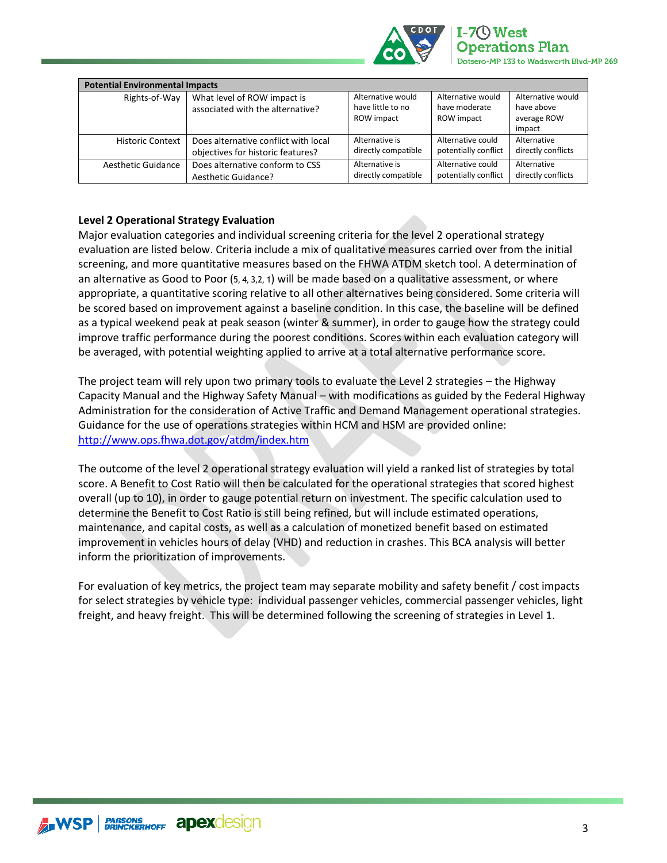

| <b>Potential Environmental Impacts</b> |                                      |                     |                      |                       |  |  |
|----------------------------------------|--------------------------------------|---------------------|----------------------|-----------------------|--|--|
| Rights-of-Way                          | What level of ROW impact is          | Alternative would   | Alternative would    | Alternative would     |  |  |
|                                        | associated with the alternative?     | have little to no   | have moderate        | have above            |  |  |
|                                        |                                      | ROW impact          | ROW impact           | average ROW<br>impact |  |  |
| <b>Historic Context</b>                | Does alternative conflict with local | Alternative is      | Alternative could    | Alternative           |  |  |
|                                        | objectives for historic features?    | directly compatible | potentially conflict | directly conflicts    |  |  |
| Aesthetic Guidance                     | Does alternative conform to CSS      | Alternative is      | Alternative could    | Alternative           |  |  |
|                                        | Aesthetic Guidance?                  | directly compatible | potentially conflict | directly conflicts    |  |  |

### **Level 2 Operational Strategy Evaluation**

Major evaluation categories and individual screening criteria for the level 2 operational strategy evaluation are listed below. Criteria include a mix of qualitative measures carried over from the initial screening, and more quantitative measures based on the FHWA ATDM sketch tool. A determination of an alternative as Good to Poor (5, 4, 3,2, 1) will be made based on a qualitative assessment, or where appropriate, a quantitative scoring relative to all other alternatives being considered. Some criteria will be scored based on improvement against a baseline condition. In this case, the baseline will be defined as a typical weekend peak at peak season (winter & summer), in order to gauge how the strategy could improve traffic performance during the poorest conditions. Scores within each evaluation category will be averaged, with potential weighting applied to arrive at a total alternative performance score.

The project team will rely upon two primary tools to evaluate the Level 2 strategies – the Highway Capacity Manual and the Highway Safety Manual – with modifications as guided by the Federal Highway Administration for the consideration of Active Traffic and Demand Management operational strategies. Guidance for the use of operations strategies within HCM and HSM are provided online: <http://www.ops.fhwa.dot.gov/atdm/index.htm>

The outcome of the level 2 operational strategy evaluation will yield a ranked list of strategies by total score. A Benefit to Cost Ratio will then be calculated for the operational strategies that scored highest overall (up to 10), in order to gauge potential return on investment. The specific calculation used to determine the Benefit to Cost Ratio is still being refined, but will include estimated operations, maintenance, and capital costs, as well as a calculation of monetized benefit based on estimated improvement in vehicles hours of delay (VHD) and reduction in crashes. This BCA analysis will better inform the prioritization of improvements.

For evaluation of key metrics, the project team may separate mobility and safety benefit / cost impacts for select strategies by vehicle type: individual passenger vehicles, commercial passenger vehicles, light freight, and heavy freight. This will be determined following the screening of strategies in Level 1.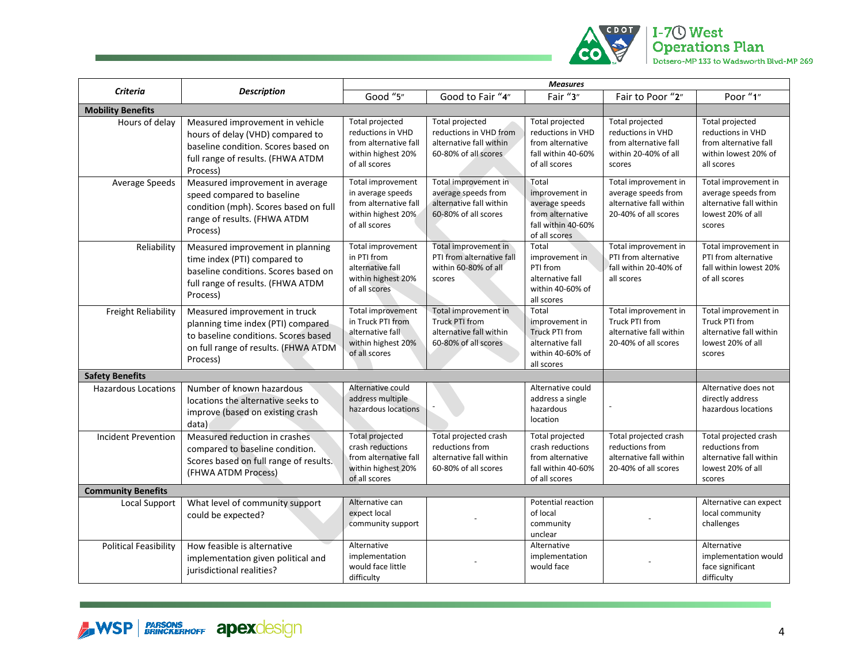

| <b>Criteria</b>              | <b>Description</b>                                                                                                                                              | <b>Measures</b>                                                                                             |                                                                                                  |                                                                                                      |                                                                                                 |                                                                                                       |
|------------------------------|-----------------------------------------------------------------------------------------------------------------------------------------------------------------|-------------------------------------------------------------------------------------------------------------|--------------------------------------------------------------------------------------------------|------------------------------------------------------------------------------------------------------|-------------------------------------------------------------------------------------------------|-------------------------------------------------------------------------------------------------------|
|                              |                                                                                                                                                                 | Good "5"                                                                                                    | Good to Fair "4"                                                                                 | Fair "3"                                                                                             | Fair to Poor "2"                                                                                | Poor $"1"$                                                                                            |
| <b>Mobility Benefits</b>     |                                                                                                                                                                 |                                                                                                             |                                                                                                  |                                                                                                      |                                                                                                 |                                                                                                       |
| Hours of delay               | Measured improvement in vehicle<br>hours of delay (VHD) compared to<br>baseline condition. Scores based on<br>full range of results. (FHWA ATDM<br>Process)     | <b>Total projected</b><br>reductions in VHD<br>from alternative fall<br>within highest 20%<br>of all scores | Total projected<br>reductions in VHD from<br>alternative fall within<br>60-80% of all scores     | Total projected<br>reductions in VHD<br>from alternative<br>fall within 40-60%<br>of all scores      | Total projected<br>reductions in VHD<br>from alternative fall<br>within 20-40% of all<br>scores | Total projected<br>reductions in VHD<br>from alternative fall<br>within lowest 20% of<br>all scores   |
| Average Speeds               | Measured improvement in average<br>speed compared to baseline<br>condition (mph). Scores based on full<br>range of results. (FHWA ATDM<br>Process)              | Total improvement<br>in average speeds<br>from alternative fall<br>within highest 20%<br>of all scores      | Total improvement in<br>average speeds from<br>alternative fall within<br>60-80% of all scores   | Total<br>improvement in<br>average speeds<br>from alternative<br>fall within 40-60%<br>of all scores | Total improvement in<br>average speeds from<br>alternative fall within<br>20-40% of all scores  | Total improvement in<br>average speeds from<br>alternative fall within<br>lowest 20% of all<br>scores |
| Reliability                  | Measured improvement in planning<br>time index (PTI) compared to<br>baseline conditions. Scores based on<br>full range of results. (FHWA ATDM<br>Process)       | Total improvement<br>in PTI from<br>alternative fall<br>within highest 20%<br>of all scores                 | Total improvement in<br>PTI from alternative fall<br>within 60-80% of all<br>scores              | Total<br>improvement in<br>PTI from<br>alternative fall<br>within 40-60% of<br>all scores            | Total improvement in<br>PTI from alternative<br>fall within 20-40% of<br>all scores             | Total improvement in<br>PTI from alternative<br>fall within lowest 20%<br>of all scores               |
| Freight Reliability          | Measured improvement in truck<br>planning time index (PTI) compared<br>to baseline conditions. Scores based<br>on full range of results. (FHWA ATDM<br>Process) | <b>Total improvement</b><br>in Truck PTI from<br>alternative fall<br>within highest 20%<br>of all scores    | Total improvement in<br><b>Truck PTI from</b><br>alternative fall within<br>60-80% of all scores | Total<br>improvement in<br>Truck PTI from<br>alternative fall<br>within 40-60% of<br>all scores      | Total improvement in<br>Truck PTI from<br>alternative fall within<br>20-40% of all scores       | Total improvement in<br>Truck PTI from<br>alternative fall within<br>lowest 20% of all<br>scores      |
| <b>Safety Benefits</b>       |                                                                                                                                                                 |                                                                                                             |                                                                                                  |                                                                                                      |                                                                                                 |                                                                                                       |
| <b>Hazardous Locations</b>   | Number of known hazardous<br>locations the alternative seeks to<br>improve (based on existing crash<br>data)                                                    | Alternative could<br>address multiple<br>hazardous locations                                                |                                                                                                  | Alternative could<br>address a single<br>hazardous<br>location                                       |                                                                                                 | Alternative does not<br>directly address<br>hazardous locations                                       |
| <b>Incident Prevention</b>   | Measured reduction in crashes<br>compared to baseline condition.<br>Scores based on full range of results.<br>(FHWA ATDM Process)                               | <b>Total projected</b><br>crash reductions<br>from alternative fall<br>within highest 20%<br>of all scores  | Total projected crash<br>reductions from<br>alternative fall within<br>60-80% of all scores      | Total projected<br>crash reductions<br>from alternative<br>fall within 40-60%<br>of all scores       | Total projected crash<br>reductions from<br>alternative fall within<br>20-40% of all scores     | Total projected crash<br>reductions from<br>alternative fall within<br>lowest 20% of all<br>scores    |
| <b>Community Benefits</b>    |                                                                                                                                                                 |                                                                                                             |                                                                                                  |                                                                                                      |                                                                                                 |                                                                                                       |
| Local Support                | What level of community support<br>could be expected?                                                                                                           | Alternative can<br>expect local<br>community support                                                        |                                                                                                  | Potential reaction<br>of local<br>community<br>unclear                                               |                                                                                                 | Alternative can expect<br>local community<br>challenges                                               |
| <b>Political Feasibility</b> | How feasible is alternative<br>implementation given political and<br>jurisdictional realities?                                                                  | Alternative<br>implementation<br>would face little<br>difficulty                                            |                                                                                                  | Alternative<br>implementation<br>would face                                                          |                                                                                                 | Alternative<br>implementation would<br>face significant<br>difficulty                                 |